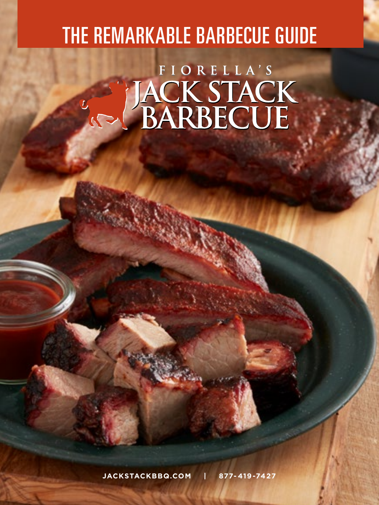## THE REMARKABLE BARBECUE GUIDE

## FIORELLA'S JACK STACK

**JACKSTACKBBQ.COM | 877-419-7427**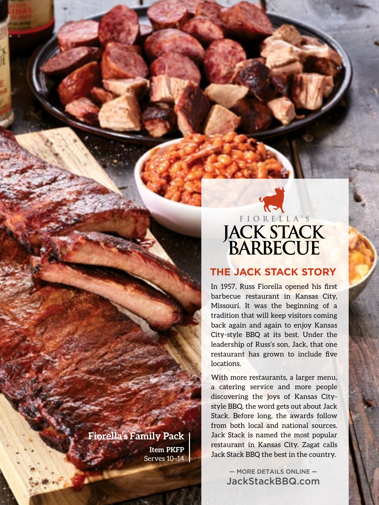## ELORELLA'S

#### **THE JACK STACK STORY**

In 1957, Russ Fiorella opened his first barbecue restaurant in Kansas City, Missouri. It was the beginning of a tradition that will keep visitors coming back again and again to enjoy Kansas City-style BBQ at its best. Under the leadership of Russ's son, Jack, that one restaurant has grown to include five locations.

With more restaurants, a larger menu, a catering service and more people discovering the joys of Kansas Citystyle BBQ, the word gets out about Jack Stack. Before long, the awards follow from both local and national sources. Jack Stack is named the most popular restaurant in Kansas City. Zagat calls Jack Stack BBQ the best in the country.

> — MORE DETAILS ONLINE — JackStackBBQ.com

#### **Fiorella's Family Pack**

**Item PKFP** Serves 10–14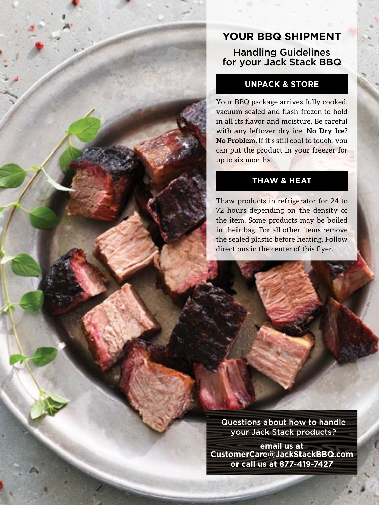#### **YOUR BBQ SHIPMENT** Handling Guidelines for your Jack Stack BBQ

#### **UNPACK & STORE**

Your BBQ package arrives fully cooked, vacuum-sealed and flash-frozen to hold in all its flavor and moisture. Be careful with any leftover dry ice. **No Dry Ice? No Problem.** If it's still cool to touch, you can put the product in your freezer for up to six months.

#### **THAW & HEAT**

Thaw products in refrigerator for 24 to 72 hours depending on the density of the item. Some products may be boiled in their bag. For all other items remove the sealed plastic before heating. Follow directions in the center of this flyer.

Questions about how to handle your Jack Stack products?

**email us at CustomerCare@JackStackBBQ.com or call us at 877-419-7427**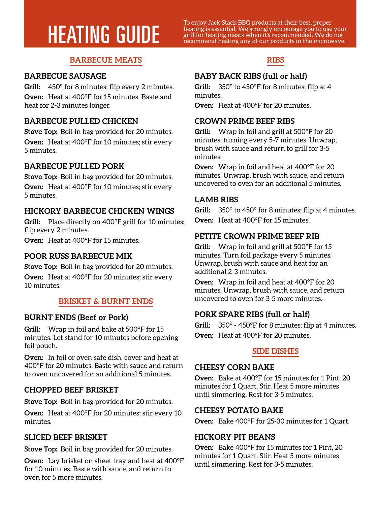To enjoy Jack Stack BBQ products at their best, proper<br>theating is essential. We strongly encourage your best, proper<br>grill for heating meats when it's recommended. We do not<br>recommend heating any of our products in the mi

#### **BARBECUE MEATS**

#### **BARBECUE SAUSAGE**

**Grill:** 450° for 8 minutes; flip every 2 minutes. **Oven:** Heat at 400°F for 15 minutes. Baste and heat for 2-3 minutes longer.

#### **BARBECUE PULLED CHICKEN**

**Stove Top:** Boil in bag provided for 20 minutes. **Oven:** Heat at 400°F for 10 minutes; stir every 5 minutes.

#### **BARBECUE PULLED PORK**

**Stove Top:** Boil in bag provided for 20 minutes. **Oven:** Heat at 400°F for 10 minutes; stir every 5 minutes.

#### **HICKORY BARBECUE CHICKEN WINGS**

**Grill:** Place directly on 400°F grill for 10 minutes; flip every 2 minutes.

**Oven:** Heat at 400°F for 15 minutes.

#### **POOR RUSS BARBECUE MIX**

**Stove Top:** Boil in bag provided for 20 minutes. **Oven:** Heat at 400°F for 20 minutes; stir every 10 minutes.

#### **BRISKET & BURNT ENDS**

#### **BURNT ENDS (Beef or Pork)**

**Grill:** Wrap in foil and bake at 500°F for 15 minutes. Let stand for 10 minutes before opening foil pouch.

**Oven:** In foil or oven safe dish, cover and heat at 400°F for 20 minutes. Baste with sauce and return to oven uncovered for an additional 5 minutes.

#### **CHOPPED BEEF BRISKET**

**Stove Top:** Boil in bag provided for 20 minutes.

**Oven:** Heat at 400°F for 20 minutes; stir every 10 minutes.

#### **SLICED BEEF BRISKET**

**Stove Top:** Boil in bag provided for 20 minutes.

**Oven:** Lay brisket on sheet tray and heat at 400°F for 10 minutes. Baste with sauce, and return to oven for 5 more minutes.

#### **RIBS**

#### **BABY BACK RIBS (full or half)**

**Grill:** 350° to 450°F for 8 minutes; flip at 4 minutes.

**Oven:** Heat at 400°F for 20 minutes.

#### **CROWN PRIME BEEF RIBS**

**Grill:** Wrap in foil and grill at 500°F for 20 minutes, turning every 5-7 minutes. Unwrap, brush with sauce and return to grill for 3-5 minutes.

**Oven:** Wrap in foil and heat at 400°F for 20 minutes. Unwrap, brush with sauce, and return uncovered to oven for an additional 5 minutes.

#### **LAMB RIBS**

**Grill:** 350° to 450° for 8 minutes; flip at 4 minutes. **Oven:** Heat at 400°F for 15 minutes.

#### **PETITE CROWN PRIME BEEF RIB**

**Grill:** Wrap in foil and grill at 500°F for 15 minutes. Turn foil package every 5 minutes. Unwrap, brush with sauce and heat for an additional 2-3 minutes.

**Oven:** Wrap in foil and heat at 400°F for 20 minutes. Unwrap, brush with sauce, and return uncovered to oven for 3-5 more minutes.

#### **PORK SPARE RIBS (full or half)**

**Grill:** 350° - 450°F for 8 minutes; flip at 4 minutes. **Oven:** Heat at 400°F for 20 minutes.

#### **SIDE DISHES**

#### **CHEESY CORN BAKE**

**Oven:** Bake at 400°F for 15 minutes for 1 Pint, 20 minutes for 1 Quart. Stir. Heat 5 more minutes until simmering. Rest for 3-5 minutes.

#### **CHEESY POTATO BAKE**

**Oven:** Bake 400°F for 25-30 minutes for 1 Quart.

#### **HICKORY PIT BEANS**

**Oven:** Bake 400°F for 15 minutes for 1 Pint, 20 minutes for 1 Quart. Stir. Heat 5 more minutes until simmering. Rest for 3-5 minutes.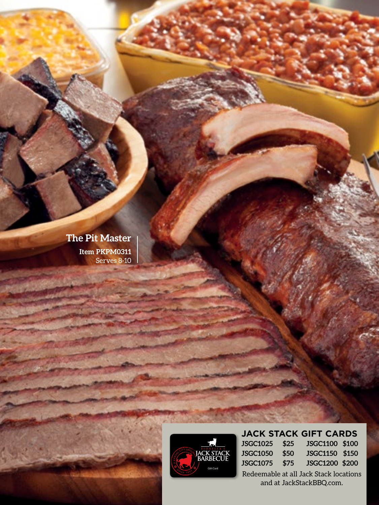**The Pit Master Item PKPM0311** Serves 8-10



**JACK STACK GIFT CARDS**

| JSGC1025 \$25 | JSGC1100 \$100 |  |
|---------------|----------------|--|
| JSGC1050 \$50 | JSGC1150 \$150 |  |
| JSGC1075 \$75 | JSGC1200 \$200 |  |

Redeemable at all Jack Stack locations and at JackStackBBQ.com.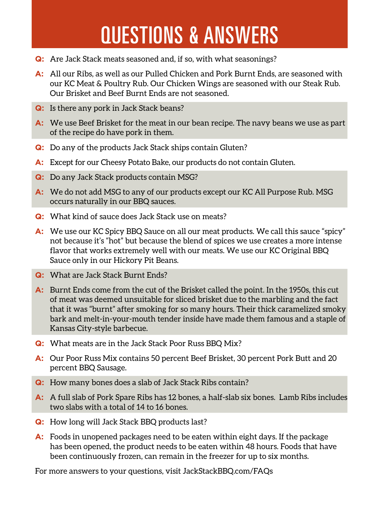## QUESTIONS & ANSWERS

- **Q:** Are Jack Stack meats seasoned and, if so, with what seasonings?
- **A:** All our Ribs, as well as our Pulled Chicken and Pork Burnt Ends, are seasoned with our KC Meat & Poultry Rub. Our Chicken Wings are seasoned with our Steak Rub. Our Brisket and Beef Burnt Ends are not seasoned.
- **Q:** Is there any pork in Jack Stack beans?
- **A:** We use Beef Brisket for the meat in our bean recipe. The navy beans we use as part of the recipe do have pork in them.
- **Q:** Do any of the products Jack Stack ships contain Gluten?
- **A:** Except for our Cheesy Potato Bake, our products do not contain Gluten.
- **Q:** Do any Jack Stack products contain MSG?
- **A:** We do not add MSG to any of our products except our KC All Purpose Rub. MSG occurs naturally in our BBQ sauces.
- **Q:** What kind of sauce does Jack Stack use on meats?
- **A:** We use our KC Spicy BBQ Sauce on all our meat products. We call this sauce "spicy" not because it's "hot" but because the blend of spices we use creates a more intense flavor that works extremely well with our meats. We use our KC Original BBQ Sauce only in our Hickory Pit Beans.
- **Q:** What are Jack Stack Burnt Ends?
- **A:** Burnt Ends come from the cut of the Brisket called the point. In the 1950s, this cut of meat was deemed unsuitable for sliced brisket due to the marbling and the fact that it was "burnt" after smoking for so many hours. Their thick caramelized smoky bark and melt-in-your-mouth tender inside have made them famous and a staple of Kansas City-style barbecue.
- **Q:** What meats are in the Jack Stack Poor Russ BBQ Mix?
- **A:** Our Poor Russ Mix contains 50 percent Beef Brisket, 30 percent Pork Butt and 20 percent BBQ Sausage.
- **Q:** How many bones does a slab of Jack Stack Ribs contain?
- **A:** A full slab of Pork Spare Ribs has 12 bones, a half-slab six bones. Lamb Ribs includes two slabs with a total of 14 to 16 bones.
- **Q:** How long will Jack Stack BBQ products last?
- **A:** Foods in unopened packages need to be eaten within eight days. If the package has been opened, the product needs to be eaten within 48 hours. Foods that have been continuously frozen, can remain in the freezer for up to six months.

For more answers to your questions, visit JackStackBBQ.com/FAQs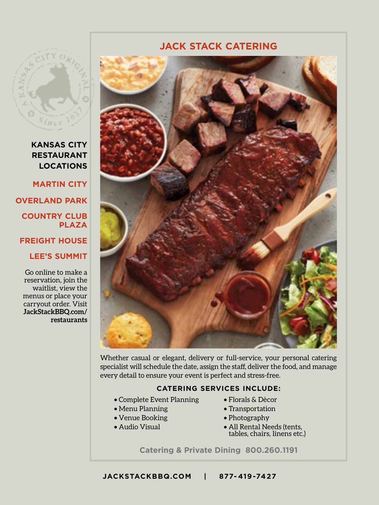

**KANSAS CITY RESTAURANT LOCATIONS**

**MARTIN CITY OVERLAND PARK COUNTRY CLUB PLAZA FREIGHT HOUSE**

**LEE'S SUMMIT**

Go online to make a reservation, join the waitlist, view the menus or place your carryout order. Visit **JackStackBBQ.com/ restaurants**



**JACK STACK CATERING**

Whether casual or elegant, delivery or full-service, your personal catering specialist will schedule the date, assign the staff, deliver the food, and manage every detail to ensure your event is perfect and stress-free.

#### **CATERING SERVICES INCLUDE:**

- Complete Event Planning
- Menu Planning
- Venue Booking
- Audio Visual
- Florals & Dècor
- Transportation
- Photography
- All Rental Needs (tents, tables, chairs, linens etc.)

**Catering & Private Dining 800.260.1191**